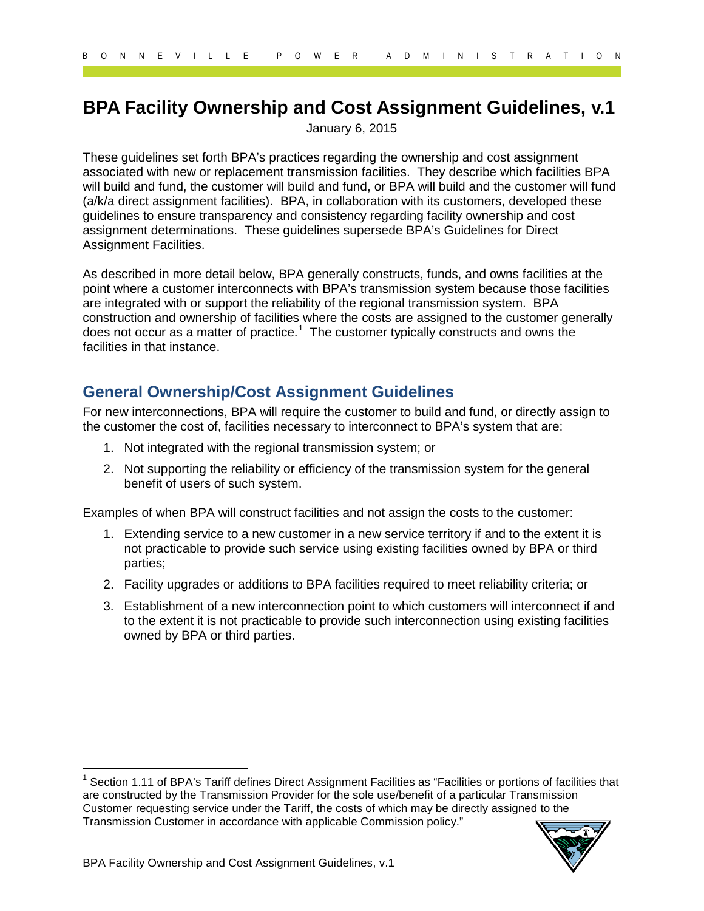# **BPA Facility Ownership and Cost Assignment Guidelines, v.1**

January 6, 2015

These guidelines set forth BPA's practices regarding the ownership and cost assignment associated with new or replacement transmission facilities. They describe which facilities BPA will build and fund, the customer will build and fund, or BPA will build and the customer will fund (a/k/a direct assignment facilities). BPA, in collaboration with its customers, developed these guidelines to ensure transparency and consistency regarding facility ownership and cost assignment determinations. These guidelines supersede BPA's Guidelines for Direct Assignment Facilities.

As described in more detail below, BPA generally constructs, funds, and owns facilities at the point where a customer interconnects with BPA's transmission system because those facilities are integrated with or support the reliability of the regional transmission system. BPA construction and ownership of facilities where the costs are assigned to the customer generally does not occur as a matter of practice.<sup>[1](#page-0-0)</sup> The customer typically constructs and owns the facilities in that instance.

### **General Ownership/Cost Assignment Guidelines**

For new interconnections, BPA will require the customer to build and fund, or directly assign to the customer the cost of, facilities necessary to interconnect to BPA's system that are:

- 1. Not integrated with the regional transmission system; or
- 2. Not supporting the reliability or efficiency of the transmission system for the general benefit of users of such system.

Examples of when BPA will construct facilities and not assign the costs to the customer:

- 1. Extending service to a new customer in a new service territory if and to the extent it is not practicable to provide such service using existing facilities owned by BPA or third parties;
- 2. Facility upgrades or additions to BPA facilities required to meet reliability criteria; or
- 3. Establishment of a new interconnection point to which customers will interconnect if and to the extent it is not practicable to provide such interconnection using existing facilities owned by BPA or third parties.

<span id="page-0-0"></span><sup>&</sup>lt;sup>1</sup> Section 1.11 of BPA's Tariff defines Direct Assignment Facilities as "Facilities or portions of facilities that are constructed by the Transmission Provider for the sole use/benefit of a particular Transmission Customer requesting service under the Tariff, the costs of which may be directly assigned to the Transmission Customer in accordance with applicable Commission policy."